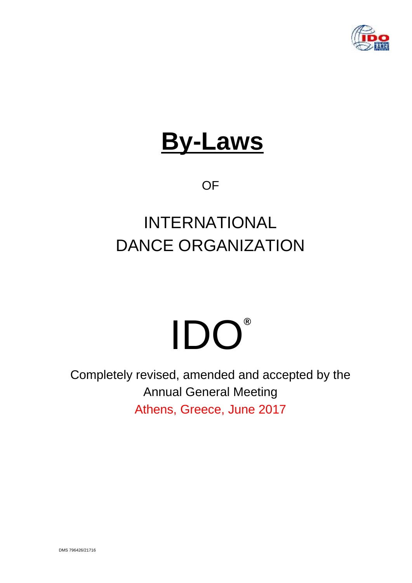

# **By-Laws**

**OF** 

# INTERNATIONAL DANCE ORGANIZATION

# IDO**®**

Completely revised, amended and accepted by the Annual General Meeting Athens, Greece, June 2017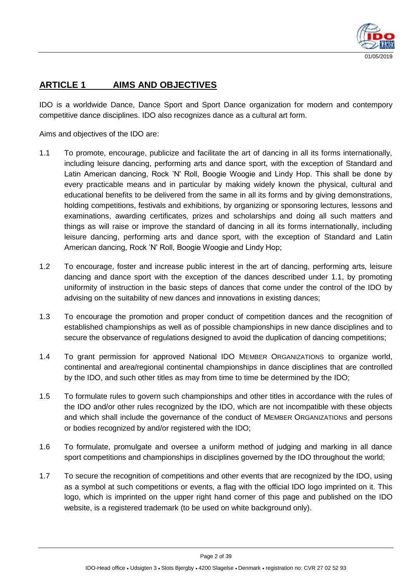

# **ARTICLE 1 AIMS AND OBJECTIVES**

IDO is a worldwide Dance, Dance Sport and Sport Dance organization for modern and contempory competitive dance disciplines. IDO also recognizes dance as a cultural art form.

Aims and objectives of the IDO are:

- 1.1 To promote, encourage, publicize and facilitate the art of dancing in all its forms internationally, including leisure dancing, performing arts and dance sport, with the exception of Standard and Latin American dancing, Rock 'N' Roll, Boogie Woogie and Lindy Hop. This shall be done by every practicable means and in particular by making widely known the physical, cultural and educational benefits to be delivered from the same in all its forms and by giving demonstrations, holding competitions, festivals and exhibitions, by organizing or sponsoring lectures, lessons and examinations, awarding certificates, prizes and scholarships and doing all such matters and things as will raise or improve the standard of dancing in all its forms internationally, including leisure dancing, performing arts and dance sport, with the exception of Standard and Latin American dancing, Rock 'N' Roll, Boogie Woogie and Lindy Hop;
- 1.2 To encourage, foster and increase public interest in the art of dancing, performing arts, leisure dancing and dance sport with the exception of the dances described under 1.1, by promoting uniformity of instruction in the basic steps of dances that come under the control of the IDO by advising on the suitability of new dances and innovations in existing dances;
- 1.3 To encourage the promotion and proper conduct of competition dances and the recognition of established championships as well as of possible championships in new dance disciplines and to secure the observance of regulations designed to avoid the duplication of dancing competitions;
- 1.4 To grant permission for approved National IDO MEMBER ORGANIZATIONS to organize world, continental and area/regional continental championships in dance disciplines that are controlled by the IDO, and such other titles as may from time to time be determined by the IDO;
- 1.5 To formulate rules to govern such championships and other titles in accordance with the rules of the IDO and/or other rules recognized by the IDO, which are not incompatible with these objects and which shall include the governance of the conduct of MEMBER ORGANIZATIONS and persons or bodies recognized by and/or registered with the IDO;
- 1.6 To formulate, promulgate and oversee a uniform method of judging and marking in all dance sport competitions and championships in disciplines governed by the IDO throughout the world;
- 1.7 To secure the recognition of competitions and other events that are recognized by the IDO, using as a symbol at such competitions or events, a flag with the official IDO logo imprinted on it. This logo, which is imprinted on the upper right hand corner of this page and published on the IDO website, is a registered trademark (to be used on white background only).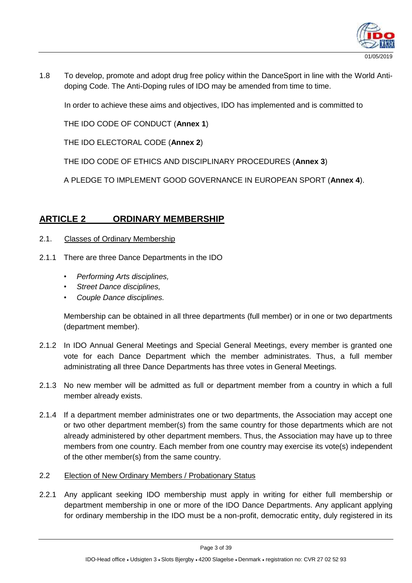

1.8 To develop, promote and adopt drug free policy within the DanceSport in line with the World Antidoping Code. The Anti-Doping rules of IDO may be amended from time to time.

In order to achieve these aims and objectives, IDO has implemented and is committed to

THE IDO CODE OF CONDUCT (**Annex 1**)

THE IDO ELECTORAL CODE (**Annex 2**)

THE IDO CODE OF ETHICS AND DISCIPLINARY PROCEDURES (**Annex 3**)

A PLEDGE TO IMPLEMENT GOOD GOVERNANCE IN EUROPEAN SPORT (**Annex 4**).

# **ARTICLE 2 ORDINARY MEMBERSHIP**

- 2.1. Classes of Ordinary Membership
- 2.1.1 There are three Dance Departments in the IDO
	- *• Performing Arts disciplines,*
	- *• Street Dance disciplines,*
	- *• Couple Dance disciplines.*

Membership can be obtained in all three departments (full member) or in one or two departments (department member).

- 2.1.2 In IDO Annual General Meetings and Special General Meetings, every member is granted one vote for each Dance Department which the member administrates. Thus, a full member administrating all three Dance Departments has three votes in General Meetings.
- 2.1.3 No new member will be admitted as full or department member from a country in which a full member already exists.
- 2.1.4 If a department member administrates one or two departments, the Association may accept one or two other department member(s) from the same country for those departments which are not already administered by other department members. Thus, the Association may have up to three members from one country. Each member from one country may exercise its vote(s) independent of the other member(s) from the same country.
- 2.2 Election of New Ordinary Members / Probationary Status
- 2.2.1 Any applicant seeking IDO membership must apply in writing for either full membership or department membership in one or more of the IDO Dance Departments. Any applicant applying for ordinary membership in the IDO must be a non-profit, democratic entity, duly registered in its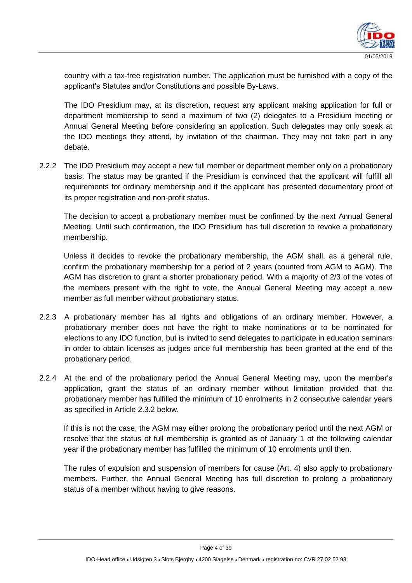

country with a tax-free registration number. The application must be furnished with a copy of the applicant's Statutes and/or Constitutions and possible By-Laws.

The IDO Presidium may, at its discretion, request any applicant making application for full or department membership to send a maximum of two (2) delegates to a Presidium meeting or Annual General Meeting before considering an application. Such delegates may only speak at the IDO meetings they attend, by invitation of the chairman. They may not take part in any debate.

2.2.2 The IDO Presidium may accept a new full member or department member only on a probationary basis. The status may be granted if the Presidium is convinced that the applicant will fulfill all requirements for ordinary membership and if the applicant has presented documentary proof of its proper registration and non-profit status.

The decision to accept a probationary member must be confirmed by the next Annual General Meeting. Until such confirmation, the IDO Presidium has full discretion to revoke a probationary membership.

Unless it decides to revoke the probationary membership, the AGM shall, as a general rule, confirm the probationary membership for a period of 2 years (counted from AGM to AGM). The AGM has discretion to grant a shorter probationary period. With a majority of 2/3 of the votes of the members present with the right to vote, the Annual General Meeting may accept a new member as full member without probationary status.

- 2.2.3 A probationary member has all rights and obligations of an ordinary member. However, a probationary member does not have the right to make nominations or to be nominated for elections to any IDO function, but is invited to send delegates to participate in education seminars in order to obtain licenses as judges once full membership has been granted at the end of the probationary period.
- 2.2.4 At the end of the probationary period the Annual General Meeting may, upon the member's application, grant the status of an ordinary member without limitation provided that the probationary member has fulfilled the minimum of 10 enrolments in 2 consecutive calendar years as specified in Article 2.3.2 below.

If this is not the case, the AGM may either prolong the probationary period until the next AGM or resolve that the status of full membership is granted as of January 1 of the following calendar year if the probationary member has fulfilled the minimum of 10 enrolments until then.

The rules of expulsion and suspension of members for cause (Art. 4) also apply to probationary members. Further, the Annual General Meeting has full discretion to prolong a probationary status of a member without having to give reasons.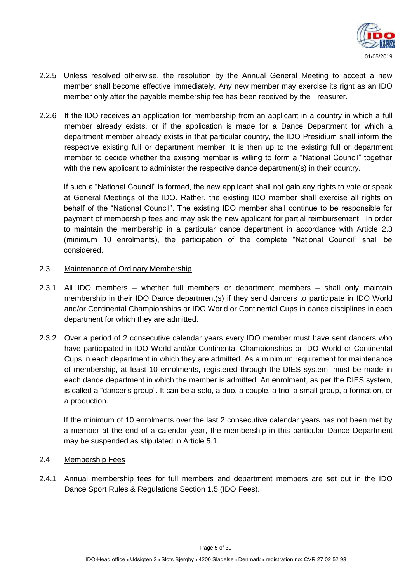

- 2.2.5 Unless resolved otherwise, the resolution by the Annual General Meeting to accept a new member shall become effective immediately. Any new member may exercise its right as an IDO member only after the payable membership fee has been received by the Treasurer.
- 2.2.6 If the IDO receives an application for membership from an applicant in a country in which a full member already exists, or if the application is made for a Dance Department for which a department member already exists in that particular country, the IDO Presidium shall inform the respective existing full or department member. It is then up to the existing full or department member to decide whether the existing member is willing to form a "National Council" together with the new applicant to administer the respective dance department(s) in their country.

If such a "National Council" is formed, the new applicant shall not gain any rights to vote or speak at General Meetings of the IDO. Rather, the existing IDO member shall exercise all rights on behalf of the "National Council". The existing IDO member shall continue to be responsible for payment of membership fees and may ask the new applicant for partial reimbursement. In order to maintain the membership in a particular dance department in accordance with Article 2.3 (minimum 10 enrolments), the participation of the complete "National Council" shall be considered.

#### 2.3 Maintenance of Ordinary Membership

- 2.3.1 All IDO members whether full members or department members shall only maintain membership in their IDO Dance department(s) if they send dancers to participate in IDO World and/or Continental Championships or IDO World or Continental Cups in dance disciplines in each department for which they are admitted.
- 2.3.2 Over a period of 2 consecutive calendar years every IDO member must have sent dancers who have participated in IDO World and/or Continental Championships or IDO World or Continental Cups in each department in which they are admitted. As a minimum requirement for maintenance of membership, at least 10 enrolments, registered through the DIES system, must be made in each dance department in which the member is admitted. An enrolment, as per the DIES system, is called a "dancer's group". It can be a solo, a duo, a couple, a trio, a small group, a formation, or a production.

If the minimum of 10 enrolments over the last 2 consecutive calendar years has not been met by a member at the end of a calendar year, the membership in this particular Dance Department may be suspended as stipulated in Article 5.1.

#### 2.4 Membership Fees

2.4.1 Annual membership fees for full members and department members are set out in the IDO Dance Sport Rules & Regulations Section 1.5 (IDO Fees).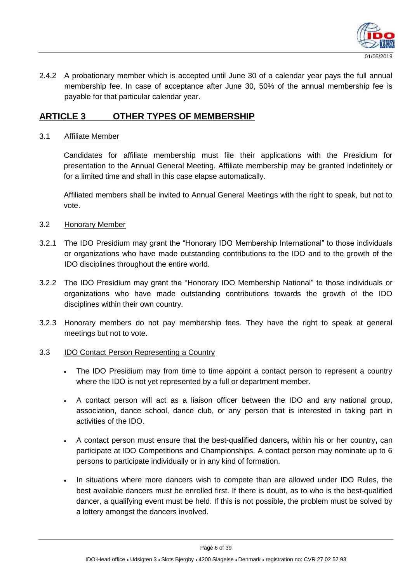

2.4.2 A probationary member which is accepted until June 30 of a calendar year pays the full annual membership fee. In case of acceptance after June 30, 50% of the annual membership fee is payable for that particular calendar year.

# **ARTICLE 3 OTHER TYPES OF MEMBERSHIP**

#### 3.1 Affiliate Member

Candidates for affiliate membership must file their applications with the Presidium for presentation to the Annual General Meeting. Affiliate membership may be granted indefinitely or for a limited time and shall in this case elapse automatically.

Affiliated members shall be invited to Annual General Meetings with the right to speak, but not to vote.

#### 3.2 Honorary Member

- 3.2.1 The IDO Presidium may grant the "Honorary IDO Membership International" to those individuals or organizations who have made outstanding contributions to the IDO and to the growth of the IDO disciplines throughout the entire world.
- 3.2.2 The IDO Presidium may grant the "Honorary IDO Membership National" to those individuals or organizations who have made outstanding contributions towards the growth of the IDO disciplines within their own country.
- 3.2.3 Honorary members do not pay membership fees. They have the right to speak at general meetings but not to vote.

#### 3.3 IDO Contact Person Representing a Country

- The IDO Presidium may from time to time appoint a contact person to represent a country where the IDO is not yet represented by a full or department member.
- A contact person will act as a liaison officer between the IDO and any national group, association, dance school, dance club, or any person that is interested in taking part in activities of the IDO.
- A contact person must ensure that the best-qualified dancers**,** within his or her country**,** can participate at IDO Competitions and Championships. A contact person may nominate up to 6 persons to participate individually or in any kind of formation.
- In situations where more dancers wish to compete than are allowed under IDO Rules, the best available dancers must be enrolled first. If there is doubt, as to who is the best-qualified dancer, a qualifying event must be held. If this is not possible, the problem must be solved by a lottery amongst the dancers involved.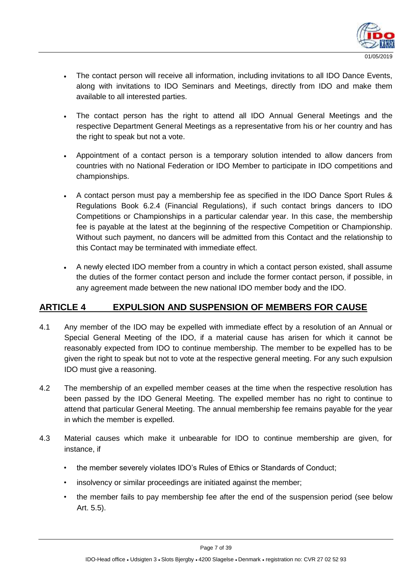

- The contact person will receive all information, including invitations to all IDO Dance Events, along with invitations to IDO Seminars and Meetings, directly from IDO and make them available to all interested parties.
- The contact person has the right to attend all IDO Annual General Meetings and the respective Department General Meetings as a representative from his or her country and has the right to speak but not a vote.
- Appointment of a contact person is a temporary solution intended to allow dancers from countries with no National Federation or IDO Member to participate in IDO competitions and championships.
- A contact person must pay a membership fee as specified in the IDO Dance Sport Rules & Regulations Book 6.2.4 (Financial Regulations), if such contact brings dancers to IDO Competitions or Championships in a particular calendar year. In this case, the membership fee is payable at the latest at the beginning of the respective Competition or Championship. Without such payment, no dancers will be admitted from this Contact and the relationship to this Contact may be terminated with immediate effect.
- A newly elected IDO member from a country in which a contact person existed, shall assume the duties of the former contact person and include the former contact person, if possible, in any agreement made between the new national IDO member body and the IDO.

# **ARTICLE 4 EXPULSION AND SUSPENSION OF MEMBERS FOR CAUSE**

- 4.1 Any member of the IDO may be expelled with immediate effect by a resolution of an Annual or Special General Meeting of the IDO, if a material cause has arisen for which it cannot be reasonably expected from IDO to continue membership. The member to be expelled has to be given the right to speak but not to vote at the respective general meeting. For any such expulsion IDO must give a reasoning.
- 4.2 The membership of an expelled member ceases at the time when the respective resolution has been passed by the IDO General Meeting. The expelled member has no right to continue to attend that particular General Meeting. The annual membership fee remains payable for the year in which the member is expelled.
- 4.3 Material causes which make it unbearable for IDO to continue membership are given, for instance, if
	- the member severely violates IDO's Rules of Ethics or Standards of Conduct;
	- insolvency or similar proceedings are initiated against the member;
	- the member fails to pay membership fee after the end of the suspension period (see below Art. 5.5).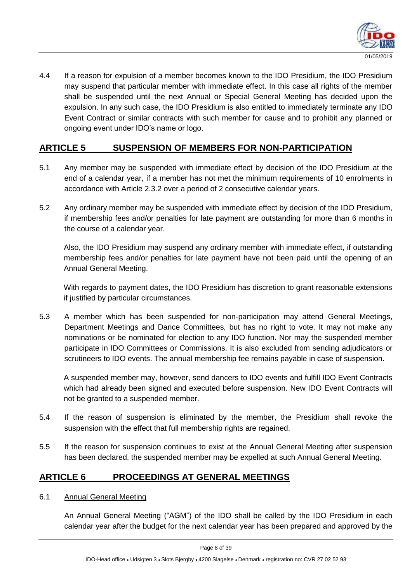

4.4 If a reason for expulsion of a member becomes known to the IDO Presidium, the IDO Presidium may suspend that particular member with immediate effect. In this case all rights of the member shall be suspended until the next Annual or Special General Meeting has decided upon the expulsion. In any such case, the IDO Presidium is also entitled to immediately terminate any IDO Event Contract or similar contracts with such member for cause and to prohibit any planned or ongoing event under IDO's name or logo.

# **ARTICLE 5 SUSPENSION OF MEMBERS FOR NON-PARTICIPATION**

- 5.1 Any member may be suspended with immediate effect by decision of the IDO Presidium at the end of a calendar year, if a member has not met the minimum requirements of 10 enrolments in accordance with Article 2.3.2 over a period of 2 consecutive calendar years.
- 5.2 Any ordinary member may be suspended with immediate effect by decision of the IDO Presidium, if membership fees and/or penalties for late payment are outstanding for more than 6 months in the course of a calendar year.

Also, the IDO Presidium may suspend any ordinary member with immediate effect, if outstanding membership fees and/or penalties for late payment have not been paid until the opening of an Annual General Meeting.

With regards to payment dates, the IDO Presidium has discretion to grant reasonable extensions if justified by particular circumstances.

5.3 A member which has been suspended for non-participation may attend General Meetings, Department Meetings and Dance Committees, but has no right to vote. It may not make any nominations or be nominated for election to any IDO function. Nor may the suspended member participate in IDO Committees or Commissions. It is also excluded from sending adjudicators or scrutineers to IDO events. The annual membership fee remains payable in case of suspension.

A suspended member may, however, send dancers to IDO events and fulfill IDO Event Contracts which had already been signed and executed before suspension. New IDO Event Contracts will not be granted to a suspended member.

- 5.4 If the reason of suspension is eliminated by the member, the Presidium shall revoke the suspension with the effect that full membership rights are regained.
- 5.5 If the reason for suspension continues to exist at the Annual General Meeting after suspension has been declared, the suspended member may be expelled at such Annual General Meeting.

# **ARTICLE 6 PROCEEDINGS AT GENERAL MEETINGS**

6.1 Annual General Meeting

An Annual General Meeting ("AGM") of the IDO shall be called by the IDO Presidium in each calendar year after the budget for the next calendar year has been prepared and approved by the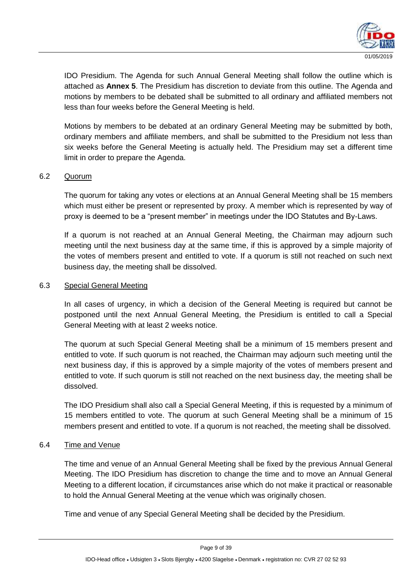

IDO Presidium. The Agenda for such Annual General Meeting shall follow the outline which is attached as **Annex 5**. The Presidium has discretion to deviate from this outline. The Agenda and motions by members to be debated shall be submitted to all ordinary and affiliated members not less than four weeks before the General Meeting is held.

Motions by members to be debated at an ordinary General Meeting may be submitted by both, ordinary members and affiliate members, and shall be submitted to the Presidium not less than six weeks before the General Meeting is actually held. The Presidium may set a different time limit in order to prepare the Agenda.

#### 6.2 Quorum

The quorum for taking any votes or elections at an Annual General Meeting shall be 15 members which must either be present or represented by proxy. A member which is represented by way of proxy is deemed to be a "present member" in meetings under the IDO Statutes and By-Laws.

If a quorum is not reached at an Annual General Meeting, the Chairman may adjourn such meeting until the next business day at the same time, if this is approved by a simple majority of the votes of members present and entitled to vote. If a quorum is still not reached on such next business day, the meeting shall be dissolved.

#### 6.3 Special General Meeting

In all cases of urgency, in which a decision of the General Meeting is required but cannot be postponed until the next Annual General Meeting, the Presidium is entitled to call a Special General Meeting with at least 2 weeks notice.

The quorum at such Special General Meeting shall be a minimum of 15 members present and entitled to vote. If such quorum is not reached, the Chairman may adjourn such meeting until the next business day, if this is approved by a simple majority of the votes of members present and entitled to vote. If such quorum is still not reached on the next business day, the meeting shall be dissolved.

The IDO Presidium shall also call a Special General Meeting, if this is requested by a minimum of 15 members entitled to vote. The quorum at such General Meeting shall be a minimum of 15 members present and entitled to vote. If a quorum is not reached, the meeting shall be dissolved.

#### 6.4 Time and Venue

The time and venue of an Annual General Meeting shall be fixed by the previous Annual General Meeting. The IDO Presidium has discretion to change the time and to move an Annual General Meeting to a different location, if circumstances arise which do not make it practical or reasonable to hold the Annual General Meeting at the venue which was originally chosen.

Time and venue of any Special General Meeting shall be decided by the Presidium.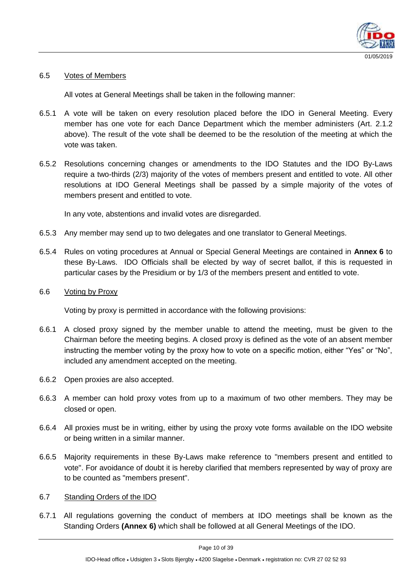

#### 6.5 Votes of Members

All votes at General Meetings shall be taken in the following manner:

- 6.5.1 A vote will be taken on every resolution placed before the IDO in General Meeting. Every member has one vote for each Dance Department which the member administers (Art. 2.1.2 above). The result of the vote shall be deemed to be the resolution of the meeting at which the vote was taken.
- 6.5.2 Resolutions concerning changes or amendments to the IDO Statutes and the IDO By-Laws require a two-thirds (2/3) majority of the votes of members present and entitled to vote. All other resolutions at IDO General Meetings shall be passed by a simple majority of the votes of members present and entitled to vote.

In any vote, abstentions and invalid votes are disregarded.

- 6.5.3 Any member may send up to two delegates and one translator to General Meetings.
- 6.5.4 Rules on voting procedures at Annual or Special General Meetings are contained in **Annex 6** to these By-Laws. IDO Officials shall be elected by way of secret ballot, if this is requested in particular cases by the Presidium or by 1/3 of the members present and entitled to vote.
- 6.6 Voting by Proxy

Voting by proxy is permitted in accordance with the following provisions:

- 6.6.1 A closed proxy signed by the member unable to attend the meeting, must be given to the Chairman before the meeting begins. A closed proxy is defined as the vote of an absent member instructing the member voting by the proxy how to vote on a specific motion, either "Yes" or "No", included any amendment accepted on the meeting.
- 6.6.2 Open proxies are also accepted.
- 6.6.3 A member can hold proxy votes from up to a maximum of two other members. They may be closed or open.
- 6.6.4 All proxies must be in writing, either by using the proxy vote forms available on the IDO website or being written in a similar manner.
- 6.6.5 Majority requirements in these By-Laws make reference to "members present and entitled to vote". For avoidance of doubt it is hereby clarified that members represented by way of proxy are to be counted as "members present".
- 6.7 Standing Orders of the IDO
- 6.7.1 All regulations governing the conduct of members at IDO meetings shall be known as the Standing Orders **(Annex 6)** which shall be followed at all General Meetings of the IDO.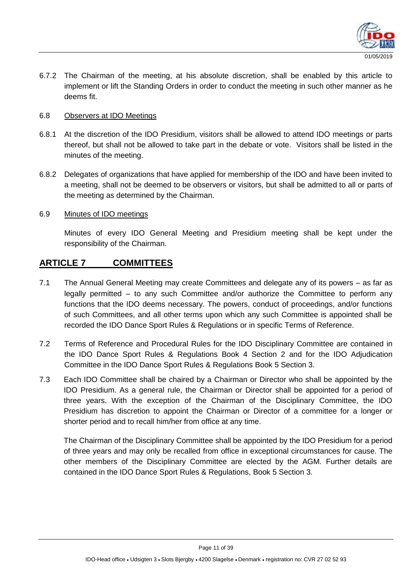

6.7.2 The Chairman of the meeting, at his absolute discretion, shall be enabled by this article to implement or lift the Standing Orders in order to conduct the meeting in such other manner as he deems fit.

#### 6.8 Observers at IDO Meetings

- 6.8.1 At the discretion of the IDO Presidium, visitors shall be allowed to attend IDO meetings or parts thereof, but shall not be allowed to take part in the debate or vote. Visitors shall be listed in the minutes of the meeting.
- 6.8.2 Delegates of organizations that have applied for membership of the IDO and have been invited to a meeting, shall not be deemed to be observers or visitors, but shall be admitted to all or parts of the meeting as determined by the Chairman.

#### 6.9 Minutes of IDO meetings

Minutes of every IDO General Meeting and Presidium meeting shall be kept under the responsibility of the Chairman.

# **ARTICLE 7 COMMITTEES**

- 7.1 The Annual General Meeting may create Committees and delegate any of its powers as far as legally permitted – to any such Committee and/or authorize the Committee to perform any functions that the IDO deems necessary. The powers, conduct of proceedings, and/or functions of such Committees, and all other terms upon which any such Committee is appointed shall be recorded the IDO Dance Sport Rules & Regulations or in specific Terms of Reference.
- 7.2 Terms of Reference and Procedural Rules for the IDO Disciplinary Committee are contained in the IDO Dance Sport Rules & Regulations Book 4 Section 2 and for the IDO Adjudication Committee in the IDO Dance Sport Rules & Regulations Book 5 Section 3.
- 7.3 Each IDO Committee shall be chaired by a Chairman or Director who shall be appointed by the IDO Presidium. As a general rule, the Chairman or Director shall be appointed for a period of three years. With the exception of the Chairman of the Disciplinary Committee, the IDO Presidium has discretion to appoint the Chairman or Director of a committee for a longer or shorter period and to recall him/her from office at any time.

The Chairman of the Disciplinary Committee shall be appointed by the IDO Presidium for a period of three years and may only be recalled from office in exceptional circumstances for cause. The other members of the Disciplinary Committee are elected by the AGM. Further details are contained in the IDO Dance Sport Rules & Regulations, Book 5 Section 3.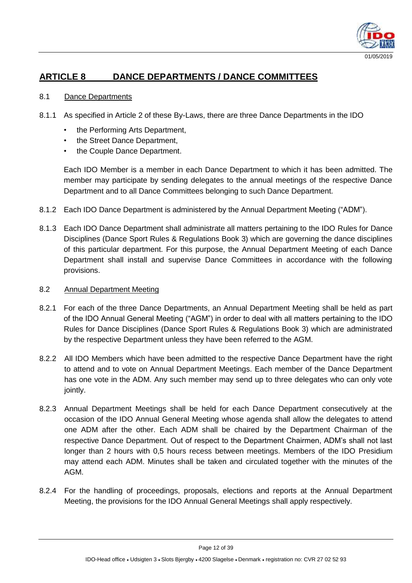

# **ARTICLE 8 DANCE DEPARTMENTS / DANCE COMMITTEES**

#### 8.1 Dance Departments

- 8.1.1 As specified in Article 2 of these By-Laws, there are three Dance Departments in the IDO
	- the Performing Arts Department,
	- the Street Dance Department,
	- the Couple Dance Department.

Each IDO Member is a member in each Dance Department to which it has been admitted. The member may participate by sending delegates to the annual meetings of the respective Dance Department and to all Dance Committees belonging to such Dance Department.

- 8.1.2 Each IDO Dance Department is administered by the Annual Department Meeting ("ADM").
- 8.1.3 Each IDO Dance Department shall administrate all matters pertaining to the IDO Rules for Dance Disciplines (Dance Sport Rules & Regulations Book 3) which are governing the dance disciplines of this particular department. For this purpose, the Annual Department Meeting of each Dance Department shall install and supervise Dance Committees in accordance with the following provisions.

#### 8.2 Annual Department Meeting

- 8.2.1 For each of the three Dance Departments, an Annual Department Meeting shall be held as part of the IDO Annual General Meeting ("AGM") in order to deal with all matters pertaining to the IDO Rules for Dance Disciplines (Dance Sport Rules & Regulations Book 3) which are administrated by the respective Department unless they have been referred to the AGM.
- 8.2.2 All IDO Members which have been admitted to the respective Dance Department have the right to attend and to vote on Annual Department Meetings. Each member of the Dance Department has one vote in the ADM. Any such member may send up to three delegates who can only vote jointly.
- 8.2.3 Annual Department Meetings shall be held for each Dance Department consecutively at the occasion of the IDO Annual General Meeting whose agenda shall allow the delegates to attend one ADM after the other. Each ADM shall be chaired by the Department Chairman of the respective Dance Department. Out of respect to the Department Chairmen, ADM's shall not last longer than 2 hours with 0,5 hours recess between meetings. Members of the IDO Presidium may attend each ADM. Minutes shall be taken and circulated together with the minutes of the AGM.
- 8.2.4 For the handling of proceedings, proposals, elections and reports at the Annual Department Meeting, the provisions for the IDO Annual General Meetings shall apply respectively.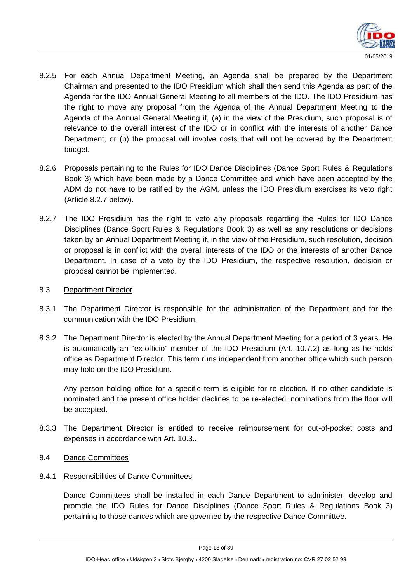

- 8.2.5 For each Annual Department Meeting, an Agenda shall be prepared by the Department Chairman and presented to the IDO Presidium which shall then send this Agenda as part of the Agenda for the IDO Annual General Meeting to all members of the IDO. The IDO Presidium has the right to move any proposal from the Agenda of the Annual Department Meeting to the Agenda of the Annual General Meeting if, (a) in the view of the Presidium, such proposal is of relevance to the overall interest of the IDO or in conflict with the interests of another Dance Department, or (b) the proposal will involve costs that will not be covered by the Department budget.
- 8.2.6 Proposals pertaining to the Rules for IDO Dance Disciplines (Dance Sport Rules & Regulations Book 3) which have been made by a Dance Committee and which have been accepted by the ADM do not have to be ratified by the AGM, unless the IDO Presidium exercises its veto right (Article 8.2.7 below).
- 8.2.7 The IDO Presidium has the right to veto any proposals regarding the Rules for IDO Dance Disciplines (Dance Sport Rules & Regulations Book 3) as well as any resolutions or decisions taken by an Annual Department Meeting if, in the view of the Presidium, such resolution, decision or proposal is in conflict with the overall interests of the IDO or the interests of another Dance Department. In case of a veto by the IDO Presidium, the respective resolution, decision or proposal cannot be implemented.

#### 8.3 Department Director

- 8.3.1 The Department Director is responsible for the administration of the Department and for the communication with the IDO Presidium.
- 8.3.2 The Department Director is elected by the Annual Department Meeting for a period of 3 years. He is automatically an "ex-officio" member of the IDO Presidium (Art. 10.7.2) as long as he holds office as Department Director. This term runs independent from another office which such person may hold on the IDO Presidium.

Any person holding office for a specific term is eligible for re-election. If no other candidate is nominated and the present office holder declines to be re-elected, nominations from the floor will be accepted.

8.3.3 The Department Director is entitled to receive reimbursement for out-of-pocket costs and expenses in accordance with Art. 10.3..

#### 8.4 Dance Committees

#### 8.4.1 Responsibilities of Dance Committees

Dance Committees shall be installed in each Dance Department to administer, develop and promote the IDO Rules for Dance Disciplines (Dance Sport Rules & Regulations Book 3) pertaining to those dances which are governed by the respective Dance Committee.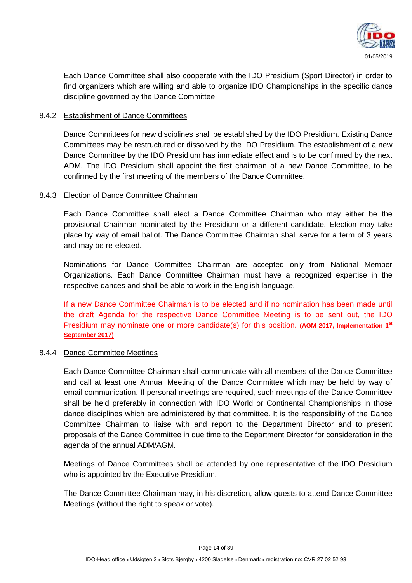

Each Dance Committee shall also cooperate with the IDO Presidium (Sport Director) in order to find organizers which are willing and able to organize IDO Championships in the specific dance discipline governed by the Dance Committee.

#### 8.4.2 Establishment of Dance Committees

Dance Committees for new disciplines shall be established by the IDO Presidium. Existing Dance Committees may be restructured or dissolved by the IDO Presidium. The establishment of a new Dance Committee by the IDO Presidium has immediate effect and is to be confirmed by the next ADM. The IDO Presidium shall appoint the first chairman of a new Dance Committee, to be confirmed by the first meeting of the members of the Dance Committee.

#### 8.4.3 Election of Dance Committee Chairman

Each Dance Committee shall elect a Dance Committee Chairman who may either be the provisional Chairman nominated by the Presidium or a different candidate. Election may take place by way of email ballot. The Dance Committee Chairman shall serve for a term of 3 years and may be re-elected.

Nominations for Dance Committee Chairman are accepted only from National Member Organizations. Each Dance Committee Chairman must have a recognized expertise in the respective dances and shall be able to work in the English language.

If a new Dance Committee Chairman is to be elected and if no nomination has been made until the draft Agenda for the respective Dance Committee Meeting is to be sent out, the IDO Presidium may nominate one or more candidate(s) for this position. **(AGM 2017, Implementation 1st September 2017)**

#### 8.4.4 Dance Committee Meetings

Each Dance Committee Chairman shall communicate with all members of the Dance Committee and call at least one Annual Meeting of the Dance Committee which may be held by way of email-communication. If personal meetings are required, such meetings of the Dance Committee shall be held preferably in connection with IDO World or Continental Championships in those dance disciplines which are administered by that committee. It is the responsibility of the Dance Committee Chairman to liaise with and report to the Department Director and to present proposals of the Dance Committee in due time to the Department Director for consideration in the agenda of the annual ADM/AGM.

Meetings of Dance Committees shall be attended by one representative of the IDO Presidium who is appointed by the Executive Presidium.

The Dance Committee Chairman may, in his discretion, allow guests to attend Dance Committee Meetings (without the right to speak or vote).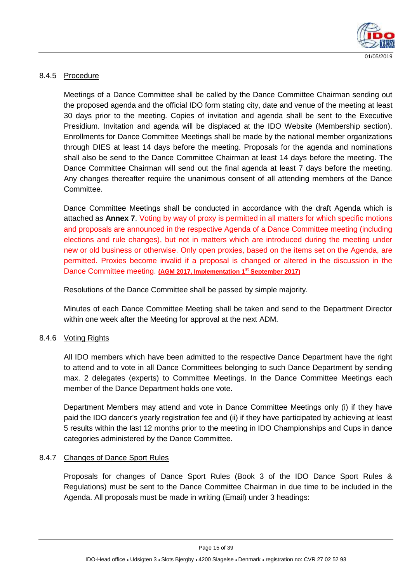

#### 8.4.5 Procedure

Meetings of a Dance Committee shall be called by the Dance Committee Chairman sending out the proposed agenda and the official IDO form stating city, date and venue of the meeting at least 30 days prior to the meeting. Copies of invitation and agenda shall be sent to the Executive Presidium. Invitation and agenda will be displaced at the IDO Website (Membership section). Enrollments for Dance Committee Meetings shall be made by the national member organizations through DIES at least 14 days before the meeting. Proposals for the agenda and nominations shall also be send to the Dance Committee Chairman at least 14 days before the meeting. The Dance Committee Chairman will send out the final agenda at least 7 days before the meeting. Any changes thereafter require the unanimous consent of all attending members of the Dance Committee.

Dance Committee Meetings shall be conducted in accordance with the draft Agenda which is attached as **Annex 7**. Voting by way of proxy is permitted in all matters for which specific motions and proposals are announced in the respective Agenda of a Dance Committee meeting (including elections and rule changes), but not in matters which are introduced during the meeting under new or old business or otherwise. Only open proxies, based on the items set on the Agenda, are permitted. Proxies become invalid if a proposal is changed or altered in the discussion in the Dance Committee meeting. **(AGM 2017, Implementation 1st September 2017)**

Resolutions of the Dance Committee shall be passed by simple majority.

Minutes of each Dance Committee Meeting shall be taken and send to the Department Director within one week after the Meeting for approval at the next ADM.

#### 8.4.6 Voting Rights

All IDO members which have been admitted to the respective Dance Department have the right to attend and to vote in all Dance Committees belonging to such Dance Department by sending max. 2 delegates (experts) to Committee Meetings. In the Dance Committee Meetings each member of the Dance Department holds one vote.

Department Members may attend and vote in Dance Committee Meetings only (i) if they have paid the IDO dancer's yearly registration fee and (ii) if they have participated by achieving at least 5 results within the last 12 months prior to the meeting in IDO Championships and Cups in dance categories administered by the Dance Committee.

#### 8.4.7 Changes of Dance Sport Rules

Proposals for changes of Dance Sport Rules (Book 3 of the IDO Dance Sport Rules & Regulations) must be sent to the Dance Committee Chairman in due time to be included in the Agenda. All proposals must be made in writing (Email) under 3 headings: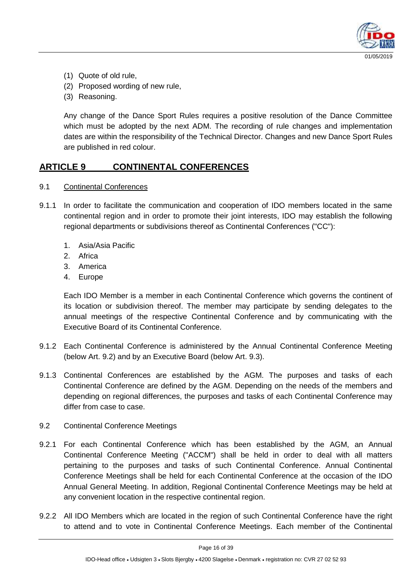

- (1) Quote of old rule,
- (2) Proposed wording of new rule,
- (3) Reasoning.

Any change of the Dance Sport Rules requires a positive resolution of the Dance Committee which must be adopted by the next ADM. The recording of rule changes and implementation dates are within the responsibility of the Technical Director. Changes and new Dance Sport Rules are published in red colour.

# **ARTICLE 9 CONTINENTAL CONFERENCES**

- 9.1 Continental Conferences
- 9.1.1 In order to facilitate the communication and cooperation of IDO members located in the same continental region and in order to promote their joint interests, IDO may establish the following regional departments or subdivisions thereof as Continental Conferences ("CC"):
	- 1. Asia/Asia Pacific
	- 2. Africa
	- 3. America
	- 4. Europe

Each IDO Member is a member in each Continental Conference which governs the continent of its location or subdivision thereof. The member may participate by sending delegates to the annual meetings of the respective Continental Conference and by communicating with the Executive Board of its Continental Conference.

- 9.1.2 Each Continental Conference is administered by the Annual Continental Conference Meeting (below Art. 9.2) and by an Executive Board (below Art. 9.3).
- 9.1.3 Continental Conferences are established by the AGM. The purposes and tasks of each Continental Conference are defined by the AGM. Depending on the needs of the members and depending on regional differences, the purposes and tasks of each Continental Conference may differ from case to case.
- 9.2 Continental Conference Meetings
- 9.2.1 For each Continental Conference which has been established by the AGM, an Annual Continental Conference Meeting ("ACCM") shall be held in order to deal with all matters pertaining to the purposes and tasks of such Continental Conference. Annual Continental Conference Meetings shall be held for each Continental Conference at the occasion of the IDO Annual General Meeting. In addition, Regional Continental Conference Meetings may be held at any convenient location in the respective continental region.
- 9.2.2 All IDO Members which are located in the region of such Continental Conference have the right to attend and to vote in Continental Conference Meetings. Each member of the Continental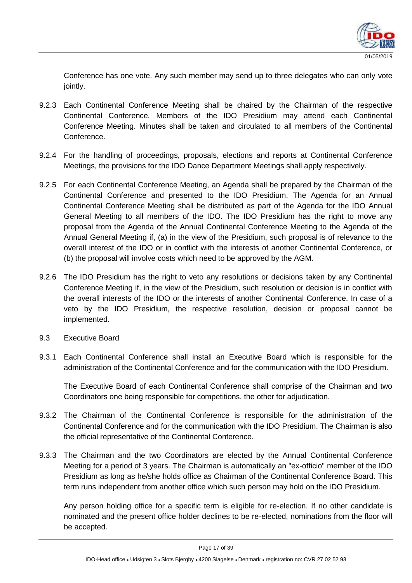

Conference has one vote. Any such member may send up to three delegates who can only vote jointly.

- 9.2.3 Each Continental Conference Meeting shall be chaired by the Chairman of the respective Continental Conference. Members of the IDO Presidium may attend each Continental Conference Meeting. Minutes shall be taken and circulated to all members of the Continental Conference.
- 9.2.4 For the handling of proceedings, proposals, elections and reports at Continental Conference Meetings, the provisions for the IDO Dance Department Meetings shall apply respectively.
- 9.2.5 For each Continental Conference Meeting, an Agenda shall be prepared by the Chairman of the Continental Conference and presented to the IDO Presidium. The Agenda for an Annual Continental Conference Meeting shall be distributed as part of the Agenda for the IDO Annual General Meeting to all members of the IDO. The IDO Presidium has the right to move any proposal from the Agenda of the Annual Continental Conference Meeting to the Agenda of the Annual General Meeting if, (a) in the view of the Presidium, such proposal is of relevance to the overall interest of the IDO or in conflict with the interests of another Continental Conference, or (b) the proposal will involve costs which need to be approved by the AGM.
- 9.2.6 The IDO Presidium has the right to veto any resolutions or decisions taken by any Continental Conference Meeting if, in the view of the Presidium, such resolution or decision is in conflict with the overall interests of the IDO or the interests of another Continental Conference. In case of a veto by the IDO Presidium, the respective resolution, decision or proposal cannot be implemented.
- 9.3 Executive Board
- 9.3.1 Each Continental Conference shall install an Executive Board which is responsible for the administration of the Continental Conference and for the communication with the IDO Presidium.

The Executive Board of each Continental Conference shall comprise of the Chairman and two Coordinators one being responsible for competitions, the other for adjudication.

- 9.3.2 The Chairman of the Continental Conference is responsible for the administration of the Continental Conference and for the communication with the IDO Presidium. The Chairman is also the official representative of the Continental Conference.
- 9.3.3 The Chairman and the two Coordinators are elected by the Annual Continental Conference Meeting for a period of 3 years. The Chairman is automatically an "ex-officio" member of the IDO Presidium as long as he/she holds office as Chairman of the Continental Conference Board. This term runs independent from another office which such person may hold on the IDO Presidium.

Any person holding office for a specific term is eligible for re-election. If no other candidate is nominated and the present office holder declines to be re-elected, nominations from the floor will be accepted.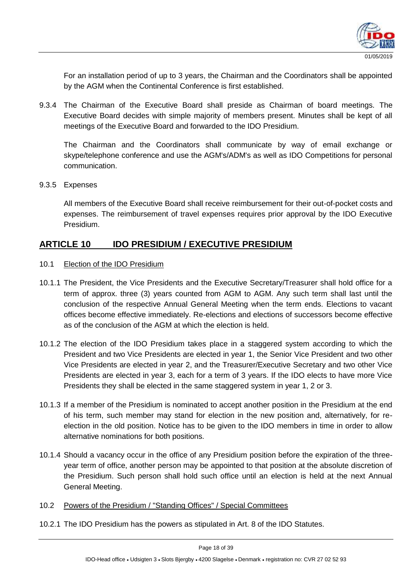

For an installation period of up to 3 years, the Chairman and the Coordinators shall be appointed by the AGM when the Continental Conference is first established.

9.3.4 The Chairman of the Executive Board shall preside as Chairman of board meetings. The Executive Board decides with simple majority of members present. Minutes shall be kept of all meetings of the Executive Board and forwarded to the IDO Presidium.

The Chairman and the Coordinators shall communicate by way of email exchange or skype/telephone conference and use the AGM's/ADM's as well as IDO Competitions for personal communication.

9.3.5 Expenses

All members of the Executive Board shall receive reimbursement for their out-of-pocket costs and expenses. The reimbursement of travel expenses requires prior approval by the IDO Executive Presidium.

# **ARTICLE 10 IDO PRESIDIUM / EXECUTIVE PRESIDIUM**

- 10.1 Election of the IDO Presidium
- 10.1.1 The President, the Vice Presidents and the Executive Secretary/Treasurer shall hold office for a term of approx. three (3) years counted from AGM to AGM. Any such term shall last until the conclusion of the respective Annual General Meeting when the term ends. Elections to vacant offices become effective immediately. Re-elections and elections of successors become effective as of the conclusion of the AGM at which the election is held.
- 10.1.2 The election of the IDO Presidium takes place in a staggered system according to which the President and two Vice Presidents are elected in year 1, the Senior Vice President and two other Vice Presidents are elected in year 2, and the Treasurer/Executive Secretary and two other Vice Presidents are elected in year 3, each for a term of 3 years. If the IDO elects to have more Vice Presidents they shall be elected in the same staggered system in year 1, 2 or 3.
- 10.1.3 If a member of the Presidium is nominated to accept another position in the Presidium at the end of his term, such member may stand for election in the new position and, alternatively, for reelection in the old position. Notice has to be given to the IDO members in time in order to allow alternative nominations for both positions.
- 10.1.4 Should a vacancy occur in the office of any Presidium position before the expiration of the threeyear term of office, another person may be appointed to that position at the absolute discretion of the Presidium. Such person shall hold such office until an election is held at the next Annual General Meeting.
- 10.2 Powers of the Presidium / "Standing Offices" / Special Committees
- 10.2.1 The IDO Presidium has the powers as stipulated in Art. 8 of the IDO Statutes.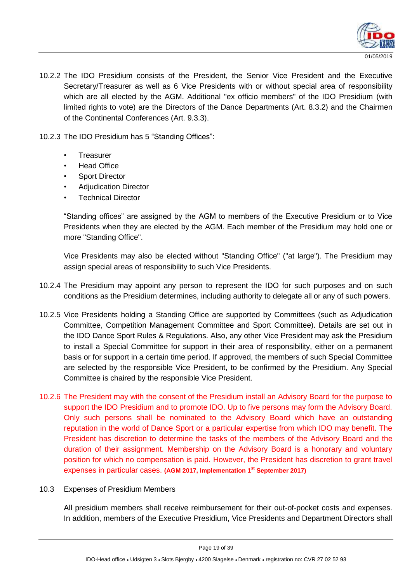

10.2.2 The IDO Presidium consists of the President, the Senior Vice President and the Executive Secretary/Treasurer as well as 6 Vice Presidents with or without special area of responsibility which are all elected by the AGM. Additional "ex officio members" of the IDO Presidium (with limited rights to vote) are the Directors of the Dance Departments (Art. 8.3.2) and the Chairmen of the Continental Conferences (Art. 9.3.3).

10.2.3 The IDO Presidium has 5 "Standing Offices":

- **Treasurer**
- **Head Office**
- Sport Director
- Adjudication Director
- **Technical Director**

"Standing offices" are assigned by the AGM to members of the Executive Presidium or to Vice Presidents when they are elected by the AGM. Each member of the Presidium may hold one or more "Standing Office".

Vice Presidents may also be elected without "Standing Office" ("at large"). The Presidium may assign special areas of responsibility to such Vice Presidents.

- 10.2.4 The Presidium may appoint any person to represent the IDO for such purposes and on such conditions as the Presidium determines, including authority to delegate all or any of such powers.
- 10.2.5 Vice Presidents holding a Standing Office are supported by Committees (such as Adjudication Committee, Competition Management Committee and Sport Committee). Details are set out in the IDO Dance Sport Rules & Regulations. Also, any other Vice President may ask the Presidium to install a Special Committee for support in their area of responsibility, either on a permanent basis or for support in a certain time period. If approved, the members of such Special Committee are selected by the responsible Vice President, to be confirmed by the Presidium. Any Special Committee is chaired by the responsible Vice President.
- 10.2.6 The President may with the consent of the Presidium install an Advisory Board for the purpose to support the IDO Presidium and to promote IDO. Up to five persons may form the Advisory Board. Only such persons shall be nominated to the Advisory Board which have an outstanding reputation in the world of Dance Sport or a particular expertise from which IDO may benefit. The President has discretion to determine the tasks of the members of the Advisory Board and the duration of their assignment. Membership on the Advisory Board is a honorary and voluntary position for which no compensation is paid. However, the President has discretion to grant travel expenses in particular cases. **(AGM 2017, Implementation 1st September 2017)**

#### 10.3 Expenses of Presidium Members

All presidium members shall receive reimbursement for their out-of-pocket costs and expenses. In addition, members of the Executive Presidium, Vice Presidents and Department Directors shall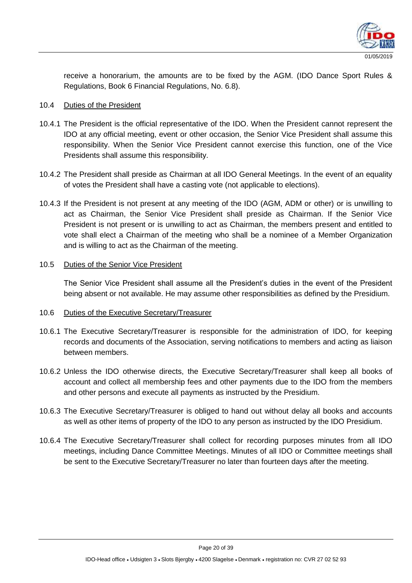

receive a honorarium, the amounts are to be fixed by the AGM. (IDO Dance Sport Rules & Regulations, Book 6 Financial Regulations, No. 6.8).

#### 10.4 Duties of the President

- 10.4.1 The President is the official representative of the IDO. When the President cannot represent the IDO at any official meeting, event or other occasion, the Senior Vice President shall assume this responsibility. When the Senior Vice President cannot exercise this function, one of the Vice Presidents shall assume this responsibility.
- 10.4.2 The President shall preside as Chairman at all IDO General Meetings. In the event of an equality of votes the President shall have a casting vote (not applicable to elections).
- 10.4.3 If the President is not present at any meeting of the IDO (AGM, ADM or other) or is unwilling to act as Chairman, the Senior Vice President shall preside as Chairman. If the Senior Vice President is not present or is unwilling to act as Chairman, the members present and entitled to vote shall elect a Chairman of the meeting who shall be a nominee of a Member Organization and is willing to act as the Chairman of the meeting.

#### 10.5 Duties of the Senior Vice President

The Senior Vice President shall assume all the President's duties in the event of the President being absent or not available. He may assume other responsibilities as defined by the Presidium.

#### 10.6 Duties of the Executive Secretary/Treasurer

- 10.6.1 The Executive Secretary/Treasurer is responsible for the administration of IDO, for keeping records and documents of the Association, serving notifications to members and acting as liaison between members.
- 10.6.2 Unless the IDO otherwise directs, the Executive Secretary/Treasurer shall keep all books of account and collect all membership fees and other payments due to the IDO from the members and other persons and execute all payments as instructed by the Presidium.
- 10.6.3 The Executive Secretary/Treasurer is obliged to hand out without delay all books and accounts as well as other items of property of the IDO to any person as instructed by the IDO Presidium.
- 10.6.4 The Executive Secretary/Treasurer shall collect for recording purposes minutes from all IDO meetings, including Dance Committee Meetings. Minutes of all IDO or Committee meetings shall be sent to the Executive Secretary/Treasurer no later than fourteen days after the meeting.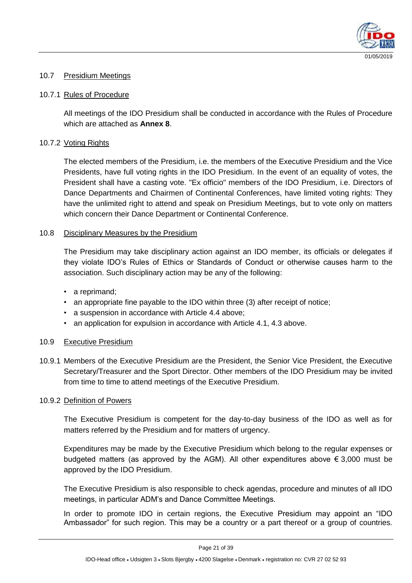

#### 10.7 Presidium Meetings

#### 10.7.1 Rules of Procedure

All meetings of the IDO Presidium shall be conducted in accordance with the Rules of Procedure which are attached as **Annex 8**.

#### 10.7.2 Voting Rights

The elected members of the Presidium, i.e. the members of the Executive Presidium and the Vice Presidents, have full voting rights in the IDO Presidium. In the event of an equality of votes, the President shall have a casting vote. "Ex officio" members of the IDO Presidium, i.e. Directors of Dance Departments and Chairmen of Continental Conferences, have limited voting rights: They have the unlimited right to attend and speak on Presidium Meetings, but to vote only on matters which concern their Dance Department or Continental Conference.

#### 10.8 Disciplinary Measures by the Presidium

The Presidium may take disciplinary action against an IDO member, its officials or delegates if they violate IDO's Rules of Ethics or Standards of Conduct or otherwise causes harm to the association. Such disciplinary action may be any of the following:

- a reprimand;
- an appropriate fine payable to the IDO within three (3) after receipt of notice;
- a suspension in accordance with Article 4.4 above;
- an application for expulsion in accordance with Article 4.1, 4.3 above.

#### 10.9 Executive Presidium

10.9.1 Members of the Executive Presidium are the President, the Senior Vice President, the Executive Secretary/Treasurer and the Sport Director. Other members of the IDO Presidium may be invited from time to time to attend meetings of the Executive Presidium.

#### 10.9.2 Definition of Powers

The Executive Presidium is competent for the day-to-day business of the IDO as well as for matters referred by the Presidium and for matters of urgency.

Expenditures may be made by the Executive Presidium which belong to the regular expenses or budgeted matters (as approved by the AGM). All other expenditures above  $\epsilon$  3,000 must be approved by the IDO Presidium.

The Executive Presidium is also responsible to check agendas, procedure and minutes of all IDO meetings, in particular ADM's and Dance Committee Meetings.

In order to promote IDO in certain regions, the Executive Presidium may appoint an "IDO Ambassador" for such region. This may be a country or a part thereof or a group of countries.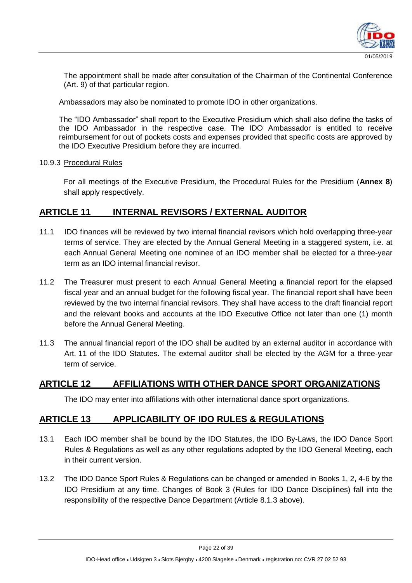

The appointment shall be made after consultation of the Chairman of the Continental Conference (Art. 9) of that particular region.

Ambassadors may also be nominated to promote IDO in other organizations.

The "IDO Ambassador" shall report to the Executive Presidium which shall also define the tasks of the IDO Ambassador in the respective case. The IDO Ambassador is entitled to receive reimbursement for out of pockets costs and expenses provided that specific costs are approved by the IDO Executive Presidium before they are incurred.

#### 10.9.3 Procedural Rules

For all meetings of the Executive Presidium, the Procedural Rules for the Presidium (**Annex 8**) shall apply respectively.

# **ARTICLE 11 INTERNAL REVISORS / EXTERNAL AUDITOR**

- 11.1 IDO finances will be reviewed by two internal financial revisors which hold overlapping three-year terms of service. They are elected by the Annual General Meeting in a staggered system, i.e. at each Annual General Meeting one nominee of an IDO member shall be elected for a three-year term as an IDO internal financial revisor.
- 11.2 The Treasurer must present to each Annual General Meeting a financial report for the elapsed fiscal year and an annual budget for the following fiscal year. The financial report shall have been reviewed by the two internal financial revisors. They shall have access to the draft financial report and the relevant books and accounts at the IDO Executive Office not later than one (1) month before the Annual General Meeting.
- 11.3 The annual financial report of the IDO shall be audited by an external auditor in accordance with Art. 11 of the IDO Statutes. The external auditor shall be elected by the AGM for a three-year term of service.

#### **ARTICLE 12 AFFILIATIONS WITH OTHER DANCE SPORT ORGANIZATIONS**

The IDO may enter into affiliations with other international dance sport organizations.

#### **ARTICLE 13 APPLICABILITY OF IDO RULES & REGULATIONS**

- 13.1 Each IDO member shall be bound by the IDO Statutes, the IDO By-Laws, the IDO Dance Sport Rules & Regulations as well as any other regulations adopted by the IDO General Meeting, each in their current version.
- 13.2 The IDO Dance Sport Rules & Regulations can be changed or amended in Books 1, 2, 4-6 by the IDO Presidium at any time. Changes of Book 3 (Rules for IDO Dance Disciplines) fall into the responsibility of the respective Dance Department (Article 8.1.3 above).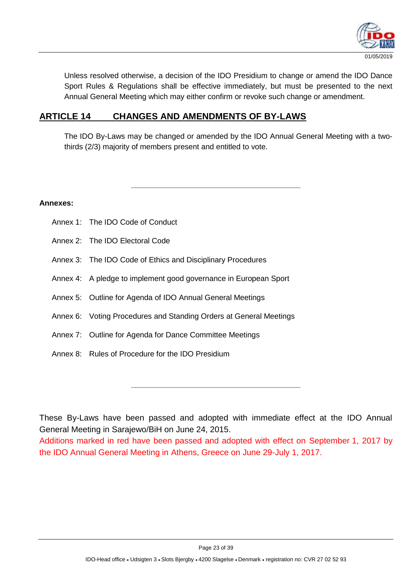

Unless resolved otherwise, a decision of the IDO Presidium to change or amend the IDO Dance Sport Rules & Regulations shall be effective immediately, but must be presented to the next Annual General Meeting which may either confirm or revoke such change or amendment.

# **ARTICLE 14 CHANGES AND AMENDMENTS OF BY-LAWS**

The IDO By-Laws may be changed or amended by the IDO Annual General Meeting with a twothirds (2/3) majority of members present and entitled to vote.

**\_\_\_\_\_\_\_\_\_\_\_\_\_\_\_\_\_\_\_\_\_\_\_\_\_\_\_\_\_\_\_\_\_\_\_\_\_\_\_\_**

**Annexes:**

- Annex 1: The IDO Code of Conduct
- Annex 2: The IDO Electoral Code
- Annex 3: The IDO Code of Ethics and Disciplinary Procedures
- Annex 4: A pledge to implement good governance in European Sport
- Annex 5: Outline for Agenda of IDO Annual General Meetings
- Annex 6: Voting Procedures and Standing Orders at General Meetings
- Annex 7: Outline for Agenda for Dance Committee Meetings
- Annex 8: Rules of Procedure for the IDO Presidium

These By-Laws have been passed and adopted with immediate effect at the IDO Annual General Meeting in Sarajewo/BiH on June 24, 2015. Additions marked in red have been passed and adopted with effect on September 1, 2017 by the IDO Annual General Meeting in Athens, Greece on June 29-July 1, 2017.

**\_\_\_\_\_\_\_\_\_\_\_\_\_\_\_\_\_\_\_\_\_\_\_\_\_\_\_\_\_\_\_\_\_\_\_\_\_\_\_\_**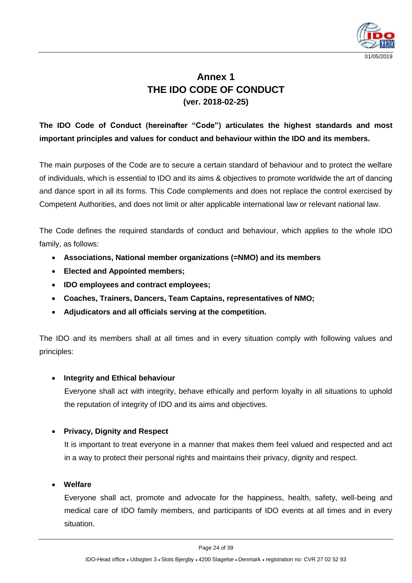

# **Annex 1 THE IDO CODE OF CONDUCT (ver. 2018-02-25)**

# **The IDO Code of Conduct (hereinafter "Code") articulates the highest standards and most important principles and values for conduct and behaviour within the IDO and its members.**

The main purposes of the Code are to secure a certain standard of behaviour and to protect the welfare of individuals, which is essential to IDO and its aims & objectives to promote worldwide the art of dancing and dance sport in all its forms. This Code complements and does not replace the control exercised by Competent Authorities, and does not limit or alter applicable international law or relevant national law.

The Code defines the required standards of conduct and behaviour, which applies to the whole IDO family, as follows:

- **Associations, National member organizations (=NMO) and its members**
- **Elected and Appointed members;**
- **IDO employees and contract employees;**
- **Coaches, Trainers, Dancers, Team Captains, representatives of NMO;**
- **Adjudicators and all officials serving at the competition.**

The IDO and its members shall at all times and in every situation comply with following values and principles:

#### **Integrity and Ethical behaviour**

Everyone shall act with integrity, behave ethically and perform loyalty in all situations to uphold the reputation of integrity of IDO and its aims and objectives.

#### **Privacy, Dignity and Respect**

It is important to treat everyone in a manner that makes them feel valued and respected and act in a way to protect their personal rights and maintains their privacy, dignity and respect.

#### **Welfare**

Everyone shall act, promote and advocate for the happiness, health, safety, well-being and medical care of IDO family members, and participants of IDO events at all times and in every situation.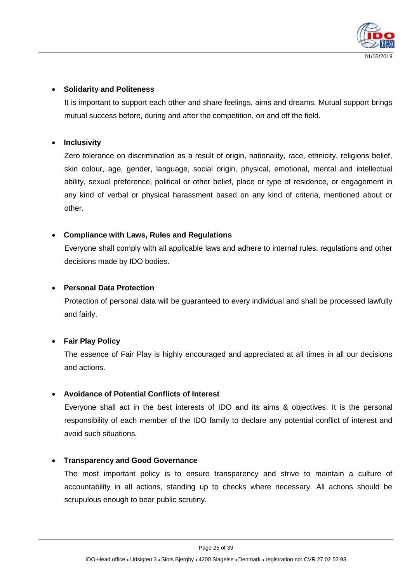

#### **Solidarity and Politeness**

It is important to support each other and share feelings, aims and dreams. Mutual support brings mutual success before, during and after the competition, on and off the field.

#### **Inclusivity**

Zero tolerance on discrimination as a result of origin, nationality, race, ethnicity, religions belief, skin colour, age, gender, language, social origin, physical, emotional, mental and intellectual ability, sexual preference, political or other belief, place or type of residence, or engagement in any kind of verbal or physical harassment based on any kind of criteria, mentioned about or other.

#### **Compliance with Laws, Rules and Regulations**

Everyone shall comply with all applicable laws and adhere to internal rules, regulations and other decisions made by IDO bodies.

#### **Personal Data Protection**

Protection of personal data will be guaranteed to every individual and shall be processed lawfully and fairly.

#### **Fair Play Policy**

The essence of Fair Play is highly encouraged and appreciated at all times in all our decisions and actions.

#### **Avoidance of Potential Conflicts of Interest**

Everyone shall act in the best interests of IDO and its aims & objectives. It is the personal responsibility of each member of the IDO family to declare any potential conflict of interest and avoid such situations.

#### **Transparency and Good Governance**

The most important policy is to ensure transparency and strive to maintain a culture of accountability in all actions, standing up to checks where necessary. All actions should be scrupulous enough to bear public scrutiny.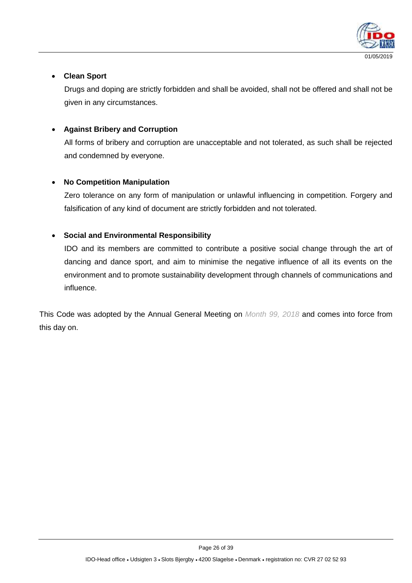

#### **Clean Sport**

Drugs and doping are strictly forbidden and shall be avoided, shall not be offered and shall not be given in any circumstances.

#### **Against Bribery and Corruption**

All forms of bribery and corruption are unacceptable and not tolerated, as such shall be rejected and condemned by everyone.

#### **No Competition Manipulation**

Zero tolerance on any form of manipulation or unlawful influencing in competition. Forgery and falsification of any kind of document are strictly forbidden and not tolerated.

#### **Social and Environmental Responsibility**

IDO and its members are committed to contribute a positive social change through the art of dancing and dance sport, and aim to minimise the negative influence of all its events on the environment and to promote sustainability development through channels of communications and influence.

This Code was adopted by the Annual General Meeting on *Month 99, 2018* and comes into force from this day on.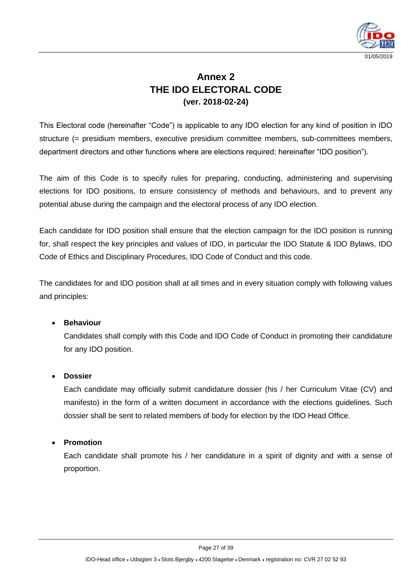

# **Annex 2 THE IDO ELECTORAL CODE (ver. 2018-02-24)**

This Electoral code (hereinafter "Code") is applicable to any IDO election for any kind of position in IDO structure (= presidium members, executive presidium committee members, sub-committees members, department directors and other functions where are elections required; hereinafter "IDO position").

The aim of this Code is to specify rules for preparing, conducting, administering and supervising elections for IDO positions, to ensure consistency of methods and behaviours, and to prevent any potential abuse during the campaign and the electoral process of any IDO election.

Each candidate for IDO position shall ensure that the election campaign for the IDO position is running for, shall respect the key principles and values of IDO, in particular the IDO Statute & IDO Bylaws, IDO Code of Ethics and Disciplinary Procedures, IDO Code of Conduct and this code.

The candidates for and IDO position shall at all times and in every situation comply with following values and principles:

#### **Behaviour**

Candidates shall comply with this Code and IDO Code of Conduct in promoting their candidature for any IDO position.

#### **Dossier**

Each candidate may officially submit candidature dossier (his / her Curriculum Vitae (CV) and manifesto) in the form of a written document in accordance with the elections guidelines. Such dossier shall be sent to related members of body for election by the IDO Head Office.

#### **Promotion**

Each candidate shall promote his / her candidature in a spirit of dignity and with a sense of proportion.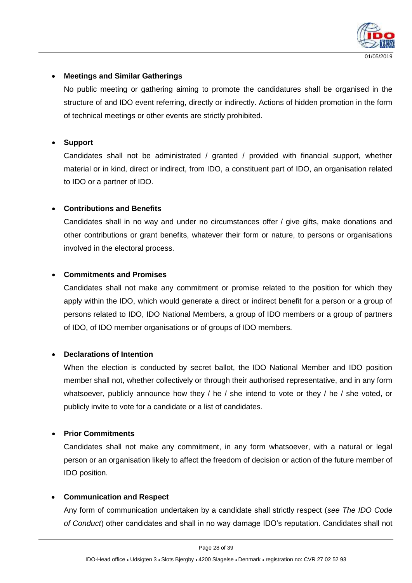

#### **Meetings and Similar Gatherings**

No public meeting or gathering aiming to promote the candidatures shall be organised in the structure of and IDO event referring, directly or indirectly. Actions of hidden promotion in the form of technical meetings or other events are strictly prohibited.

#### **Support**

Candidates shall not be administrated / granted / provided with financial support, whether material or in kind, direct or indirect, from IDO, a constituent part of IDO, an organisation related to IDO or a partner of IDO.

#### **Contributions and Benefits**

Candidates shall in no way and under no circumstances offer / give gifts, make donations and other contributions or grant benefits, whatever their form or nature, to persons or organisations involved in the electoral process.

#### **Commitments and Promises**

Candidates shall not make any commitment or promise related to the position for which they apply within the IDO, which would generate a direct or indirect benefit for a person or a group of persons related to IDO, IDO National Members, a group of IDO members or a group of partners of IDO, of IDO member organisations or of groups of IDO members.

#### **Declarations of Intention**

When the election is conducted by secret ballot, the IDO National Member and IDO position member shall not, whether collectively or through their authorised representative, and in any form whatsoever, publicly announce how they / he / she intend to vote or they / he / she voted, or publicly invite to vote for a candidate or a list of candidates.

#### **Prior Commitments**

Candidates shall not make any commitment, in any form whatsoever, with a natural or legal person or an organisation likely to affect the freedom of decision or action of the future member of IDO position.

#### **Communication and Respect**

Any form of communication undertaken by a candidate shall strictly respect (*see The IDO Code of Conduct*) other candidates and shall in no way damage IDO's reputation. Candidates shall not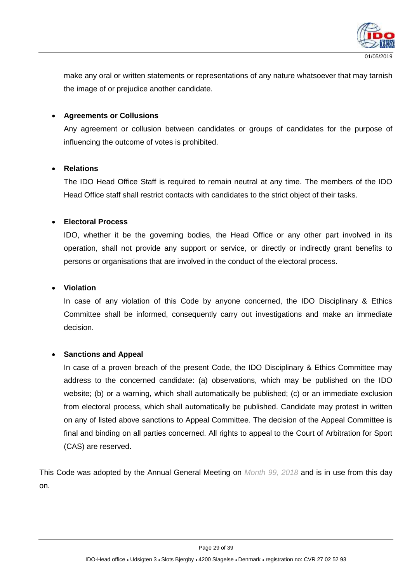

make any oral or written statements or representations of any nature whatsoever that may tarnish the image of or prejudice another candidate.

#### **Agreements or Collusions**

Any agreement or collusion between candidates or groups of candidates for the purpose of influencing the outcome of votes is prohibited.

#### **Relations**

The IDO Head Office Staff is required to remain neutral at any time. The members of the IDO Head Office staff shall restrict contacts with candidates to the strict object of their tasks.

#### **Electoral Process**

IDO, whether it be the governing bodies, the Head Office or any other part involved in its operation, shall not provide any support or service, or directly or indirectly grant benefits to persons or organisations that are involved in the conduct of the electoral process.

#### **Violation**

In case of any violation of this Code by anyone concerned, the IDO Disciplinary & Ethics Committee shall be informed, consequently carry out investigations and make an immediate decision.

#### **Sanctions and Appeal**

In case of a proven breach of the present Code, the IDO Disciplinary & Ethics Committee may address to the concerned candidate: (a) observations, which may be published on the IDO website; (b) or a warning, which shall automatically be published; (c) or an immediate exclusion from electoral process, which shall automatically be published. Candidate may protest in written on any of listed above sanctions to Appeal Committee. The decision of the Appeal Committee is final and binding on all parties concerned. All rights to appeal to the Court of Arbitration for Sport (CAS) are reserved.

This Code was adopted by the Annual General Meeting on *Month 99, 2018* and is in use from this day on.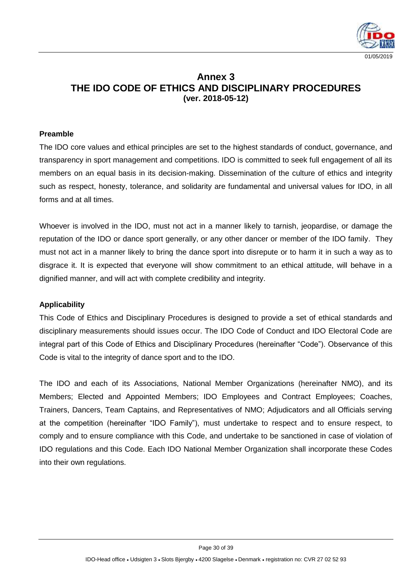

# **Annex 3 THE IDO CODE OF ETHICS AND DISCIPLINARY PROCEDURES (ver. 2018-05-12)**

#### **Preamble**

The IDO core values and ethical principles are set to the highest standards of conduct, governance, and transparency in sport management and competitions. IDO is committed to seek full engagement of all its members on an equal basis in its decision-making. Dissemination of the culture of ethics and integrity such as respect, honesty, tolerance, and solidarity are fundamental and universal values for IDO, in all forms and at all times.

Whoever is involved in the IDO, must not act in a manner likely to tarnish, jeopardise, or damage the reputation of the IDO or dance sport generally, or any other dancer or member of the IDO family. They must not act in a manner likely to bring the dance sport into disrepute or to harm it in such a way as to disgrace it. It is expected that everyone will show commitment to an ethical attitude, will behave in a dignified manner, and will act with complete credibility and integrity.

#### **Applicability**

This Code of Ethics and Disciplinary Procedures is designed to provide a set of ethical standards and disciplinary measurements should issues occur. The IDO Code of Conduct and IDO Electoral Code are integral part of this Code of Ethics and Disciplinary Procedures (hereinafter "Code"). Observance of this Code is vital to the integrity of dance sport and to the IDO.

The IDO and each of its Associations, National Member Organizations (hereinafter NMO), and its Members; Elected and Appointed Members; IDO Employees and Contract Employees; Coaches, Trainers, Dancers, Team Captains, and Representatives of NMO; Adjudicators and all Officials serving at the competition (hereinafter "IDO Family"), must undertake to respect and to ensure respect, to comply and to ensure compliance with this Code, and undertake to be sanctioned in case of violation of IDO regulations and this Code. Each IDO National Member Organization shall incorporate these Codes into their own regulations.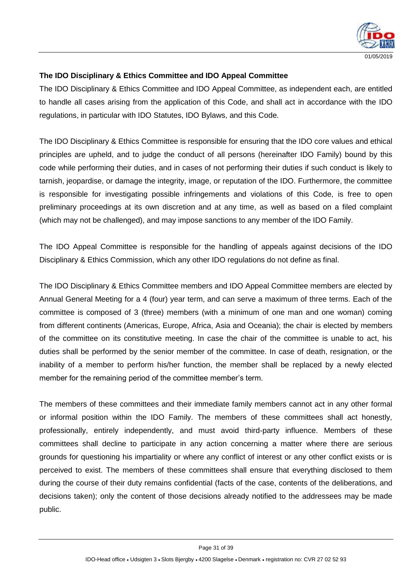

#### **The IDO Disciplinary & Ethics Committee and IDO Appeal Committee**

The IDO Disciplinary & Ethics Committee and IDO Appeal Committee, as independent each, are entitled to handle all cases arising from the application of this Code, and shall act in accordance with the IDO regulations, in particular with IDO Statutes, IDO Bylaws, and this Code.

The IDO Disciplinary & Ethics Committee is responsible for ensuring that the IDO core values and ethical principles are upheld, and to judge the conduct of all persons (hereinafter IDO Family) bound by this code while performing their duties, and in cases of not performing their duties if such conduct is likely to tarnish, jeopardise, or damage the integrity, image, or reputation of the IDO. Furthermore, the committee is responsible for investigating possible infringements and violations of this Code, is free to open preliminary proceedings at its own discretion and at any time, as well as based on a filed complaint (which may not be challenged), and may impose sanctions to any member of the IDO Family.

The IDO Appeal Committee is responsible for the handling of appeals against decisions of the IDO Disciplinary & Ethics Commission, which any other IDO regulations do not define as final.

The IDO Disciplinary & Ethics Committee members and IDO Appeal Committee members are elected by Annual General Meeting for a 4 (four) year term, and can serve a maximum of three terms. Each of the committee is composed of 3 (three) members (with a minimum of one man and one woman) coming from different continents (Americas, Europe, Africa, Asia and Oceania); the chair is elected by members of the committee on its constitutive meeting. In case the chair of the committee is unable to act, his duties shall be performed by the senior member of the committee. In case of death, resignation, or the inability of a member to perform his/her function, the member shall be replaced by a newly elected member for the remaining period of the committee member's term.

The members of these committees and their immediate family members cannot act in any other formal or informal position within the IDO Family. The members of these committees shall act honestly, professionally, entirely independently, and must avoid third-party influence. Members of these committees shall decline to participate in any action concerning a matter where there are serious grounds for questioning his impartiality or where any conflict of interest or any other conflict exists or is perceived to exist. The members of these committees shall ensure that everything disclosed to them during the course of their duty remains confidential (facts of the case, contents of the deliberations, and decisions taken); only the content of those decisions already notified to the addressees may be made public.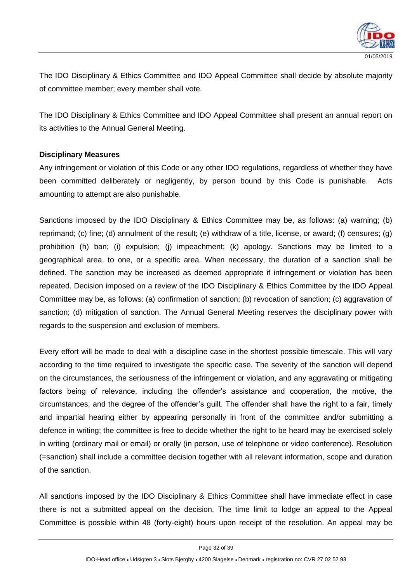

The IDO Disciplinary & Ethics Committee and IDO Appeal Committee shall decide by absolute majority of committee member; every member shall vote.

The IDO Disciplinary & Ethics Committee and IDO Appeal Committee shall present an annual report on its activities to the Annual General Meeting.

#### **Disciplinary Measures**

Any infringement or violation of this Code or any other IDO regulations, regardless of whether they have been committed deliberately or negligently, by person bound by this Code is punishable. Acts amounting to attempt are also punishable.

Sanctions imposed by the IDO Disciplinary & Ethics Committee may be, as follows: (a) warning; (b) reprimand; (c) fine; (d) annulment of the result; (e) withdraw of a title, license, or award; (f) censures; (g) prohibition (h) ban; (i) expulsion; (j) impeachment; (k) apology. Sanctions may be limited to a geographical area, to one, or a specific area. When necessary, the duration of a sanction shall be defined. The sanction may be increased as deemed appropriate if infringement or violation has been repeated. Decision imposed on a review of the IDO Disciplinary & Ethics Committee by the IDO Appeal Committee may be, as follows: (a) confirmation of sanction; (b) revocation of sanction; (c) aggravation of sanction; (d) mitigation of sanction. The Annual General Meeting reserves the disciplinary power with regards to the suspension and exclusion of members.

Every effort will be made to deal with a discipline case in the shortest possible timescale. This will vary according to the time required to investigate the specific case. The severity of the sanction will depend on the circumstances, the seriousness of the infringement or violation, and any aggravating or mitigating factors being of relevance, including the offender's assistance and cooperation, the motive, the circumstances, and the degree of the offender's guilt. The offender shall have the right to a fair, timely and impartial hearing either by appearing personally in front of the committee and/or submitting a defence in writing; the committee is free to decide whether the right to be heard may be exercised solely in writing (ordinary mail or email) or orally (in person, use of telephone or video conference). Resolution (=sanction) shall include a committee decision together with all relevant information, scope and duration of the sanction.

All sanctions imposed by the IDO Disciplinary & Ethics Committee shall have immediate effect in case there is not a submitted appeal on the decision. The time limit to lodge an appeal to the Appeal Committee is possible within 48 (forty-eight) hours upon receipt of the resolution. An appeal may be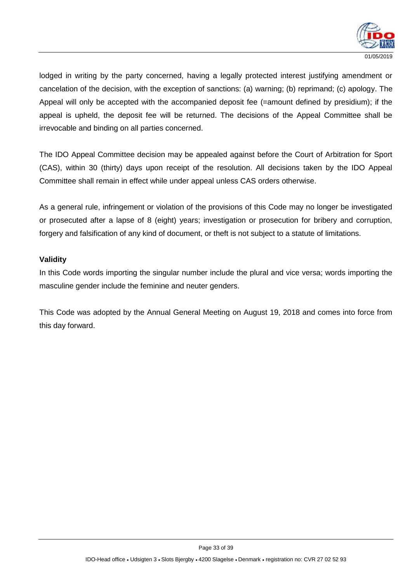

lodged in writing by the party concerned, having a legally protected interest justifying amendment or cancelation of the decision, with the exception of sanctions: (a) warning; (b) reprimand; (c) apology. The Appeal will only be accepted with the accompanied deposit fee (=amount defined by presidium); if the appeal is upheld, the deposit fee will be returned. The decisions of the Appeal Committee shall be irrevocable and binding on all parties concerned.

The IDO Appeal Committee decision may be appealed against before the Court of Arbitration for Sport (CAS), within 30 (thirty) days upon receipt of the resolution. All decisions taken by the IDO Appeal Committee shall remain in effect while under appeal unless CAS orders otherwise.

As a general rule, infringement or violation of the provisions of this Code may no longer be investigated or prosecuted after a lapse of 8 (eight) years; investigation or prosecution for bribery and corruption, forgery and falsification of any kind of document, or theft is not subject to a statute of limitations.

#### **Validity**

In this Code words importing the singular number include the plural and vice versa; words importing the masculine gender include the feminine and neuter genders.

This Code was adopted by the Annual General Meeting on August 19, 2018 and comes into force from this day forward.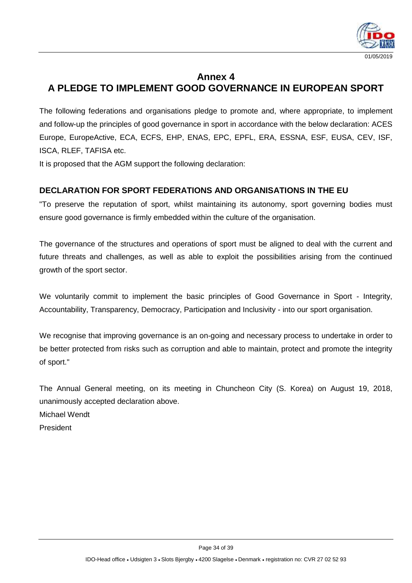

# **Annex 4 A PLEDGE TO IMPLEMENT GOOD GOVERNANCE IN EUROPEAN SPORT**

The following federations and organisations pledge to promote and, where appropriate, to implement and follow-up the principles of good governance in sport in accordance with the below declaration: ACES Europe, EuropeActive, ECA, ECFS, EHP, ENAS, EPC, EPFL, ERA, ESSNA, ESF, EUSA, CEV, ISF, ISCA, RLEF, TAFISA etc.

It is proposed that the AGM support the following declaration:

# **DECLARATION FOR SPORT FEDERATIONS AND ORGANISATIONS IN THE EU**

"To preserve the reputation of sport, whilst maintaining its autonomy, sport governing bodies must ensure good governance is firmly embedded within the culture of the organisation.

The governance of the structures and operations of sport must be aligned to deal with the current and future threats and challenges, as well as able to exploit the possibilities arising from the continued growth of the sport sector.

We voluntarily commit to implement the basic principles of Good Governance in Sport - Integrity, Accountability, Transparency, Democracy, Participation and Inclusivity - into our sport organisation.

We recognise that improving governance is an on-going and necessary process to undertake in order to be better protected from risks such as corruption and able to maintain, protect and promote the integrity of sport."

The Annual General meeting, on its meeting in Chuncheon City (S. Korea) on August 19, 2018, unanimously accepted declaration above. Michael Wendt

President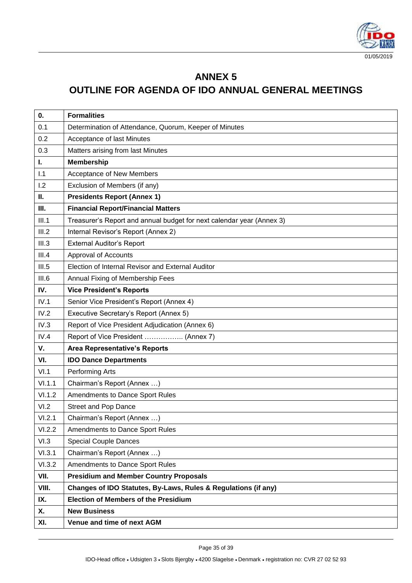

# **ANNEX 5**

# **OUTLINE FOR AGENDA OF IDO ANNUAL GENERAL MEETINGS**

| 0.     | <b>Formalities</b>                                                    |
|--------|-----------------------------------------------------------------------|
| 0.1    | Determination of Attendance, Quorum, Keeper of Minutes                |
| 0.2    | Acceptance of last Minutes                                            |
| 0.3    | Matters arising from last Minutes                                     |
| L.     | <b>Membership</b>                                                     |
| 1.1    | Acceptance of New Members                                             |
| 1.2    | Exclusion of Members (if any)                                         |
| П.     | <b>Presidents Report (Annex 1)</b>                                    |
| Ш.     | <b>Financial Report/Financial Matters</b>                             |
| III.1  | Treasurer's Report and annual budget for next calendar year (Annex 3) |
| III.2  | Internal Revisor's Report (Annex 2)                                   |
| III.3  | <b>External Auditor's Report</b>                                      |
| III.4  | <b>Approval of Accounts</b>                                           |
| III.5  | Election of Internal Revisor and External Auditor                     |
| III.6  | Annual Fixing of Membership Fees                                      |
| IV.    | <b>Vice President's Reports</b>                                       |
| IV.1   | Senior Vice President's Report (Annex 4)                              |
| IV.2   | Executive Secretary's Report (Annex 5)                                |
| IV.3   | Report of Vice President Adjudication (Annex 6)                       |
| IV.4   | Report of Vice President  (Annex 7)                                   |
| ۷.     | <b>Area Representative's Reports</b>                                  |
| VI.    | <b>IDO Dance Departments</b>                                          |
| VI.1   | Performing Arts                                                       |
| VI.1.1 | Chairman's Report (Annex )                                            |
| VI.1.2 | Amendments to Dance Sport Rules                                       |
| VI.2   | <b>Street and Pop Dance</b>                                           |
| VI.2.1 | Chairman's Report (Annex )                                            |
| VI.2.2 | Amendments to Dance Sport Rules                                       |
| VI.3   | <b>Special Couple Dances</b>                                          |
| VI.3.1 | Chairman's Report (Annex )                                            |
| VI.3.2 | Amendments to Dance Sport Rules                                       |
| VII.   | <b>Presidium and Member Country Proposals</b>                         |
| VIII.  | Changes of IDO Statutes, By-Laws, Rules & Regulations (if any)        |
| IX.    | <b>Election of Members of the Presidium</b>                           |
| Х.     | <b>New Business</b>                                                   |
| XI.    | Venue and time of next AGM                                            |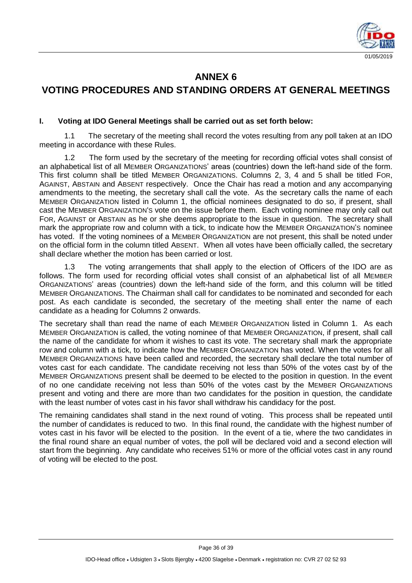

# **ANNEX 6**

# **VOTING PROCEDURES AND STANDING ORDERS AT GENERAL MEETINGS**

#### **I. Voting at IDO General Meetings shall be carried out as set forth below:**

1.1 The secretary of the meeting shall record the votes resulting from any poll taken at an IDO meeting in accordance with these Rules.

1.2 The form used by the secretary of the meeting for recording official votes shall consist of an alphabetical list of all MEMBER ORGANIZATIONS' areas (countries) down the left-hand side of the form. This first column shall be titled MEMBER ORGANIZATIONS. Columns 2, 3, 4 and 5 shall be titled FOR, AGAINST, ABSTAIN and ABSENT respectively. Once the Chair has read a motion and any accompanying amendments to the meeting, the secretary shall call the vote. As the secretary calls the name of each MEMBER ORGANIZATION listed in Column 1, the official nominees designated to do so, if present, shall cast the MEMBER ORGANIZATION'S vote on the issue before them. Each voting nominee may only call out FOR, AGAINST or ABSTAIN as he or she deems appropriate to the issue in question. The secretary shall mark the appropriate row and column with a tick, to indicate how the MEMBER ORGANIZATION'S nominee has voted. If the voting nominees of a MEMBER ORGANIZATION are not present, this shall be noted under on the official form in the column titled ABSENT. When all votes have been officially called, the secretary shall declare whether the motion has been carried or lost.

1.3 The voting arrangements that shall apply to the election of Officers of the IDO are as follows. The form used for recording official votes shall consist of an alphabetical list of all MEMBER ORGANIZATIONS' areas (countries) down the left-hand side of the form, and this column will be titled MEMBER ORGANIZATIONS. The Chairman shall call for candidates to be nominated and seconded for each post. As each candidate is seconded, the secretary of the meeting shall enter the name of each candidate as a heading for Columns 2 onwards.

The secretary shall than read the name of each MEMBER ORGANIZATION listed in Column 1. As each MEMBER ORGANIZATION is called, the voting nominee of that MEMBER ORGANIZATION, if present, shall call the name of the candidate for whom it wishes to cast its vote. The secretary shall mark the appropriate row and column with a tick, to indicate how the MEMBER ORGANIZATION has voted. When the votes for all MEMBER ORGANIZATIONS have been called and recorded, the secretary shall declare the total number of votes cast for each candidate. The candidate receiving not less than 50% of the votes cast by of the MEMBER ORGANIZATIONS present shall be deemed to be elected to the position in question. In the event of no one candidate receiving not less than 50% of the votes cast by the MEMBER ORGANIZATIONS present and voting and there are more than two candidates for the position in question, the candidate with the least number of votes cast in his favor shall withdraw his candidacy for the post.

The remaining candidates shall stand in the next round of voting. This process shall be repeated until the number of candidates is reduced to two. In this final round, the candidate with the highest number of votes cast in his favor will be elected to the position. In the event of a tie, where the two candidates in the final round share an equal number of votes, the poll will be declared void and a second election will start from the beginning. Any candidate who receives 51% or more of the official votes cast in any round of voting will be elected to the post.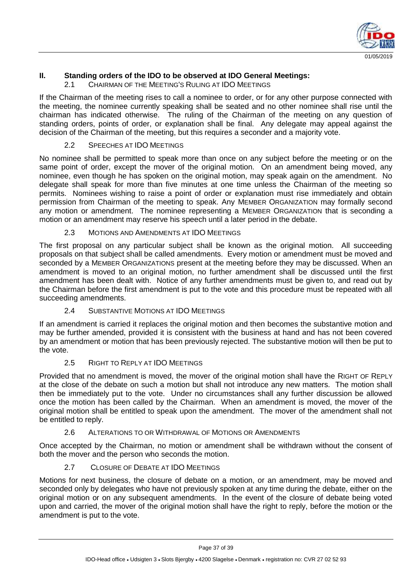

#### **II. Standing orders of the IDO to be observed at IDO General Meetings:**

2.1 CHAIRMAN OF THE MEETING'S RULING AT IDO MEETINGS

If the Chairman of the meeting rises to call a nominee to order, or for any other purpose connected with the meeting, the nominee currently speaking shall be seated and no other nominee shall rise until the chairman has indicated otherwise. The ruling of the Chairman of the meeting on any question of standing orders, points of order, or explanation shall be final. Any delegate may appeal against the decision of the Chairman of the meeting, but this requires a seconder and a majority vote.

#### 2.2 SPEECHES AT IDO MEETINGS

No nominee shall be permitted to speak more than once on any subject before the meeting or on the same point of order, except the mover of the original motion. On an amendment being moved, any nominee, even though he has spoken on the original motion, may speak again on the amendment. No delegate shall speak for more than five minutes at one time unless the Chairman of the meeting so permits. Nominees wishing to raise a point of order or explanation must rise immediately and obtain permission from Chairman of the meeting to speak. Any MEMBER ORGANIZATION may formally second any motion or amendment. The nominee representing a MEMBER ORGANIZATION that is seconding a motion or an amendment may reserve his speech until a later period in the debate.

#### 2.3 MOTIONS AND AMENDMENTS AT IDO MEETINGS

The first proposal on any particular subject shall be known as the original motion. All succeeding proposals on that subject shall be called amendments. Every motion or amendment must be moved and seconded by a MEMBER ORGANIZATIONS present at the meeting before they may be discussed. When an amendment is moved to an original motion, no further amendment shall be discussed until the first amendment has been dealt with. Notice of any further amendments must be given to, and read out by the Chairman before the first amendment is put to the vote and this procedure must be repeated with all succeeding amendments.

#### 2.4 SUBSTANTIVE MOTIONS AT IDO MEETINGS

If an amendment is carried it replaces the original motion and then becomes the substantive motion and may be further amended, provided it is consistent with the business at hand and has not been covered by an amendment or motion that has been previously rejected. The substantive motion will then be put to the vote.

#### 2.5 RIGHT TO REPLY AT IDO MEETINGS

Provided that no amendment is moved, the mover of the original motion shall have the RIGHT OF REPLY at the close of the debate on such a motion but shall not introduce any new matters. The motion shall then be immediately put to the vote. Under no circumstances shall any further discussion be allowed once the motion has been called by the Chairman. When an amendment is moved, the mover of the original motion shall be entitled to speak upon the amendment. The mover of the amendment shall not be entitled to reply.

#### 2.6 ALTERATIONS TO OR WITHDRAWAL OF MOTIONS OR AMENDMENTS

Once accepted by the Chairman, no motion or amendment shall be withdrawn without the consent of both the mover and the person who seconds the motion.

#### 2.7 CLOSURE OF DEBATE AT IDO MEETINGS

Motions for next business, the closure of debate on a motion, or an amendment, may be moved and seconded only by delegates who have not previously spoken at any time during the debate, either on the original motion or on any subsequent amendments. In the event of the closure of debate being voted upon and carried, the mover of the original motion shall have the right to reply, before the motion or the amendment is put to the vote.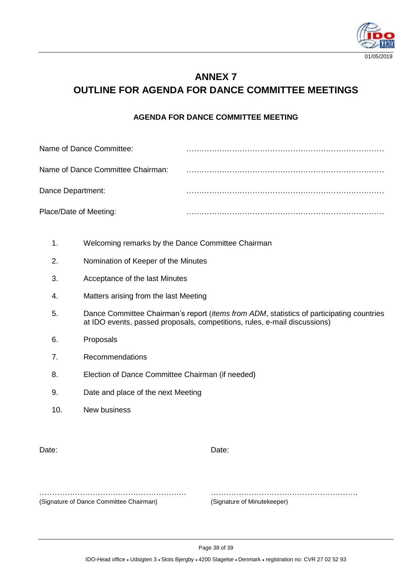

# **ANNEX 7 OUTLINE FOR AGENDA FOR DANCE COMMITTEE MEETINGS**

#### **AGENDA FOR DANCE COMMITTEE MEETING**

| Name of Dance Committee:          |  |
|-----------------------------------|--|
| Name of Dance Committee Chairman: |  |
| Dance Department:                 |  |
| Place/Date of Meeting:            |  |

- 1. Welcoming remarks by the Dance Committee Chairman
- 2. Nomination of Keeper of the Minutes
- 3. Acceptance of the last Minutes
- 4. Matters arising from the last Meeting
- 5. Dance Committee Chairman's report (*items from ADM*, statistics of participating countries at IDO events, passed proposals, competitions, rules, e-mail discussions)
- 6. Proposals
- 7. Recommendations
- 8. Election of Dance Committee Chairman (if needed)
- 9. Date and place of the next Meeting
- 10. New business

Date: **Date: Date: Date: Date: Date: Date: Date: Date: Date: Date: Date: Date: Date: Date: Date: Date: Date: Date: Date: Date: Date: Date: Date: Date: Date: Date: Date:**

…………………………………………………. …………………………………………………. (Signature of Dance Committee Chairman) (Signature of Minutekeeper)